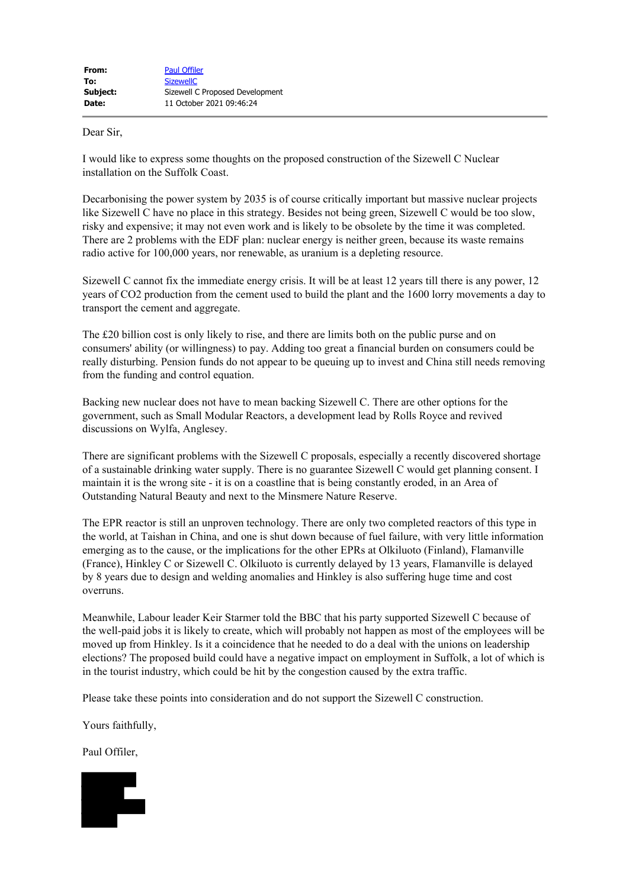## Dear Sir,

I would like to express some thoughts on the proposed construction of the Sizewell C Nuclear installation on the Suffolk Coast.

Decarbonising the power system by 2035 is of course critically important but massive nuclear projects like Sizewell C have no place in this strategy. Besides not being green, Sizewell C would be too slow, risky and expensive; it may not even work and is likely to be obsolete by the time it was completed. There are 2 problems with the EDF plan: nuclear energy is neither green, because its waste remains radio active for 100,000 years, nor renewable, as uranium is a depleting resource.

Sizewell C cannot fix the immediate energy crisis. It will be at least 12 years till there is any power, 12 years of CO2 production from the cement used to build the plant and the 1600 lorry movements a day to transport the cement and aggregate.

The £20 billion cost is only likely to rise, and there are limits both on the public purse and on consumers' ability (or willingness) to pay. Adding too great a financial burden on consumers could be really disturbing. Pension funds do not appear to be queuing up to invest and China still needs removing from the funding and control equation.

Backing new nuclear does not have to mean backing Sizewell C. There are other options for the government, such as Small Modular Reactors, a development lead by Rolls Royce and revived discussions on Wylfa, Anglesey.

There are significant problems with the Sizewell C proposals, especially a recently discovered shortage of a sustainable drinking water supply. There is no guarantee Sizewell C would get planning consent. I maintain it is the wrong site - it is on a coastline that is being constantly eroded, in an Area of Outstanding Natural Beauty and next to the Minsmere Nature Reserve.

The EPR reactor is still an unproven technology. There are only two completed reactors of this type in the world, at Taishan in China, and one is shut down because of fuel failure, with very little information emerging as to the cause, or the implications for the other EPRs at Olkiluoto (Finland), Flamanville (France), Hinkley C or Sizewell C. Olkiluoto is currently delayed by 13 years, Flamanville is delayed by 8 years due to design and welding anomalies and Hinkley is also suffering huge time and cost overruns.

Meanwhile, Labour leader Keir Starmer told the BBC that his party supported Sizewell C because of the well-paid jobs it is likely to create, which will probably not happen as most of the employees will be moved up from Hinkley. Is it a coincidence that he needed to do a deal with the unions on leadership elections? The proposed build could have a negative impact on employment in Suffolk, a lot of which is in the tourist industry, which could be hit by the congestion caused by the extra traffic.

Please take these points into consideration and do not support the Sizewell C construction.

Yours faithfully,

Paul Offiler,